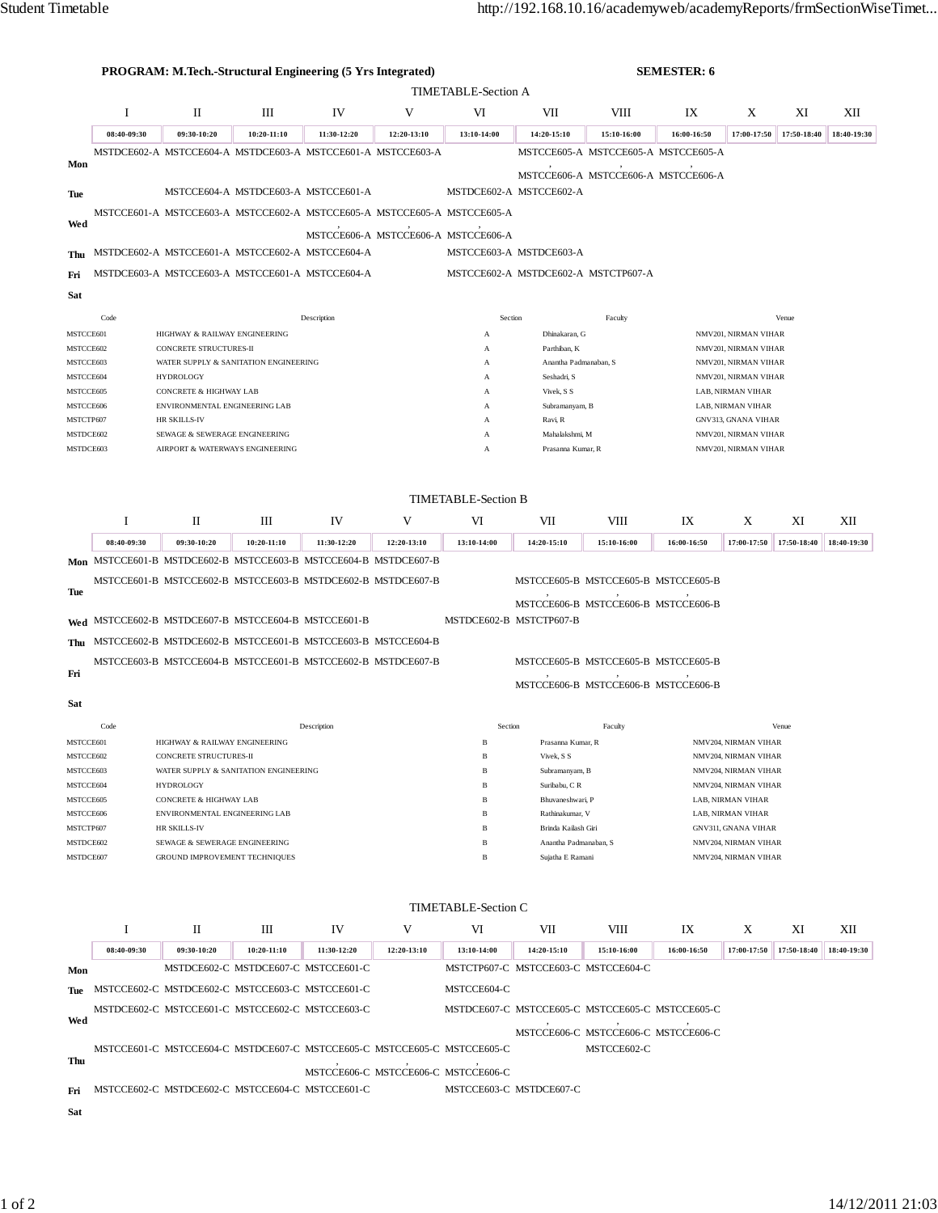|                                                                                                                       | <b>PROGRAM: M.Tech.-Structural Engineering (5 Yrs Integrated)</b> |                                                                         |                                     |             |             |                                     |                                                 |                                                    | <b>SEMESTER: 6</b> |                                              |             |             |  |
|-----------------------------------------------------------------------------------------------------------------------|-------------------------------------------------------------------|-------------------------------------------------------------------------|-------------------------------------|-------------|-------------|-------------------------------------|-------------------------------------------------|----------------------------------------------------|--------------------|----------------------------------------------|-------------|-------------|--|
|                                                                                                                       | <b>TIMETABLE-Section A</b>                                        |                                                                         |                                     |             |             |                                     |                                                 |                                                    |                    |                                              |             |             |  |
|                                                                                                                       | Ι.                                                                | П                                                                       | Ш                                   | IV          | V           | VI                                  | VII                                             | VШ                                                 | IX                 | X                                            | XI          | XІІ         |  |
|                                                                                                                       | 08:40-09:30                                                       | 09:30-10:20                                                             | 10:20-11:10                         | 11:30-12:20 | 12:20-13:10 | 13:10-14:00                         | 14:20-15:10                                     | 15:10-16:00                                        | 16:00-16:50        | 17:00-17:50                                  | 17:50-18:40 | 18:40-19:30 |  |
|                                                                                                                       |                                                                   | MSTDCE602-A MSTCCE604-A MSTDCE603-A MSTCCE601-A MSTCCE603-A             |                                     |             |             |                                     |                                                 | MSTCCE605-A MSTCCE605-A MSTCCE605-A                |                    |                                              |             |             |  |
| Mon                                                                                                                   |                                                                   |                                                                         |                                     |             |             |                                     |                                                 | MSTCCE606-A MSTCCE606-A MSTCCE606-A                |                    |                                              |             |             |  |
| Tue                                                                                                                   |                                                                   |                                                                         | MSTCCE604-A MSTDCE603-A MSTCCE601-A |             |             |                                     | MSTDCE602-A MSTCCE602-A                         |                                                    |                    |                                              |             |             |  |
|                                                                                                                       |                                                                   | MSTCCE601-A MSTCCE603-A MSTCCE602-A MSTCCE605-A MSTCCE605-A MSTCCE605-A |                                     |             |             |                                     |                                                 |                                                    |                    |                                              |             |             |  |
| Wed                                                                                                                   |                                                                   |                                                                         |                                     |             |             | MSTCCE606-A MSTCCE606-A MSTCCE606-A |                                                 |                                                    |                    |                                              |             |             |  |
| Thu                                                                                                                   |                                                                   | MSTDCE602-A MSTCCE601-A MSTCCE602-A MSTCCE604-A                         |                                     |             |             |                                     | MSTCCE603-A MSTDCE603-A                         |                                                    |                    |                                              |             |             |  |
| Fri                                                                                                                   |                                                                   | MSTDCE603-A MSTCCE603-A MSTCCE601-A MSTCCE604-A                         |                                     |             |             |                                     | MSTCCE602-A MSTDCE602-A MSTCTP607-A             |                                                    |                    |                                              |             |             |  |
| Sat                                                                                                                   |                                                                   |                                                                         |                                     |             |             |                                     |                                                 |                                                    |                    |                                              |             |             |  |
|                                                                                                                       | Code                                                              |                                                                         |                                     | Description |             | Section                             |                                                 | Faculty                                            |                    |                                              | Venue       |             |  |
| MSTCCE601                                                                                                             |                                                                   | HIGHWAY & RAILWAY ENGINEERING                                           |                                     |             |             | $\mathbf{A}$                        | Dhinakaran, G                                   |                                                    |                    | NMV201, NIRMAN VIHAR                         |             |             |  |
| MSTCCE602<br>MSTCCE603                                                                                                |                                                                   | CONCRETE STRUCTURES-II<br>WATER SUPPLY & SANITATION ENGINEERING         |                                     |             |             | A                                   | Parthiban, K<br>Anantha Padmanaban, S           |                                                    |                    | NMV201, NIRMAN VIHAR<br>NMV201, NIRMAN VIHAR |             |             |  |
| MSTCCE604                                                                                                             |                                                                   | <b>HYDROLOGY</b>                                                        |                                     |             |             | А<br>A                              | Seshadri, S                                     |                                                    |                    | NMV201, NIRMAN VIHAR                         |             |             |  |
| MSTCCE605                                                                                                             |                                                                   | <b>CONCRETE &amp; HIGHWAY LAB</b>                                       |                                     |             |             | А                                   | Vivek, S S                                      |                                                    |                    | LAB, NIRMAN VIHAR                            |             |             |  |
| MSTCCE606                                                                                                             |                                                                   | ENVIRONMENTAL ENGINEERING LAB                                           |                                     |             |             | А                                   | Subramanyam, B                                  |                                                    |                    | LAB, NIRMAN VIHAR                            |             |             |  |
| MSTCTP607<br>MSTDCE602                                                                                                |                                                                   | HR SKILLS-IV<br>SEWAGE & SEWERAGE ENGINEERING                           |                                     |             |             | А<br>A                              | Ravi, R<br>Mahalakshmi, M                       |                                                    |                    | GNV313, GNANA VIHAR<br>NMV201, NIRMAN VIHAR  |             |             |  |
| MSTDCE603                                                                                                             |                                                                   | AIRPORT & WATERWAYS ENGINEERING                                         |                                     |             |             | A                                   | Prasanna Kumar, R                               |                                                    |                    | NMV201, NIRMAN VIHAR                         |             |             |  |
|                                                                                                                       |                                                                   |                                                                         |                                     |             |             |                                     |                                                 |                                                    |                    |                                              |             |             |  |
|                                                                                                                       |                                                                   |                                                                         |                                     |             |             |                                     |                                                 |                                                    |                    |                                              |             |             |  |
|                                                                                                                       |                                                                   |                                                                         |                                     |             |             | <b>TIMETABLE-Section B</b>          |                                                 |                                                    |                    |                                              |             |             |  |
|                                                                                                                       | Ι                                                                 | П                                                                       | Ш                                   | IV          | V           | VI                                  | VII                                             | VIII                                               | IX                 | Χ                                            | XI          | XII         |  |
|                                                                                                                       | 08:40-09:30                                                       | 09:30-10:20                                                             | 10:20-11:10                         | 11:30-12:20 | 12:20-13:10 | 13:10-14:00                         | 14:20-15:10                                     | 15:10-16:00                                        | 16:00-16:50        | 17:00-17:50                                  | 17:50-18:40 | 18:40-19:30 |  |
| Mon                                                                                                                   |                                                                   | MSTCCE601-B MSTDCE602-B MSTCCE603-B MSTCCE604-B MSTDCE607-B             |                                     |             |             |                                     |                                                 |                                                    |                    |                                              |             |             |  |
| Tue                                                                                                                   |                                                                   | MSTCCE601-B MSTCCE602-B MSTCCE603-B MSTDCE602-B MSTDCE607-B             |                                     |             |             |                                     |                                                 | MSTCCE605-B MSTCCE605-B MSTCCE605-B                |                    |                                              |             |             |  |
|                                                                                                                       |                                                                   |                                                                         |                                     |             |             | MSTCCE606-B MSTCCE606-B MSTCCE606-B |                                                 |                                                    |                    |                                              |             |             |  |
| Wed                                                                                                                   |                                                                   | MSTCCE602-B MSTDCE607-B MSTCCE604-B MSTCCE601-B                         |                                     |             |             | MSTDCE602-B MSTCTP607-B             |                                                 |                                                    |                    |                                              |             |             |  |
| Thu                                                                                                                   |                                                                   | MSTCCE602-B MSTDCE602-B MSTCCE601-B MSTCCE603-B MSTCCE604-B             |                                     |             |             |                                     |                                                 |                                                    |                    |                                              |             |             |  |
| Fri                                                                                                                   |                                                                   | MSTCCE603-B MSTCCE604-B MSTCCE601-B MSTCCE602-B MSTDCE607-B             |                                     |             |             |                                     |                                                 | MSTCCE605-B MSTCCE605-B MSTCCE605-B                |                    |                                              |             |             |  |
|                                                                                                                       |                                                                   |                                                                         |                                     |             |             |                                     |                                                 | MSTCCE606-B MSTCCE606-B MSTCCE606-B                |                    |                                              |             |             |  |
| Sat                                                                                                                   |                                                                   |                                                                         |                                     |             |             |                                     |                                                 |                                                    |                    |                                              |             |             |  |
|                                                                                                                       | Code                                                              |                                                                         |                                     | Description |             | Section                             |                                                 | Faculty                                            |                    |                                              | Venue       |             |  |
| MSTCCE601                                                                                                             |                                                                   | HIGHWAY & RAILWAY ENGINEERING                                           |                                     |             |             |                                     | Prasanna Kumar, R                               |                                                    |                    | NMV204, NIRMAN VIHAR                         |             |             |  |
| MSTCCE602<br>MSTCCE603                                                                                                |                                                                   | CONCRETE STRUCTURES-II<br>WATER SUPPLY & SANITATION ENGINEERING         |                                     |             |             | $\mathbf B$<br>B                    | Vivek, S S<br>Subramanyam, B                    |                                                    |                    | NMV204, NIRMAN VIHAR<br>NMV204, NIRMAN VIHAR |             |             |  |
| MSTCCE604                                                                                                             |                                                                   | <b>HYDROLOGY</b>                                                        |                                     |             |             | B                                   | Suribabu, C R                                   |                                                    |                    | NMV204, NIRMAN VIHAR                         |             |             |  |
| MSTCCE605                                                                                                             |                                                                   | CONCRETE & HIGHWAY LAB                                                  |                                     |             |             | B                                   | Bhuvaneshwari, P                                |                                                    |                    | LAB, NIRMAN VIHAR                            |             |             |  |
| MSTCCE606<br>MSTCTP607                                                                                                |                                                                   | ENVIRONMENTAL ENGINEERING LAB<br>HR SKILLS-IV                           |                                     |             |             | B<br>B                              | Rathinakumar, V<br>Brinda Kailash Giri          |                                                    |                    | LAB, NIRMAN VIHAR                            |             |             |  |
| MSTDCE602                                                                                                             |                                                                   | SEWAGE & SEWERAGE ENGINEERING                                           |                                     |             |             | B                                   | Anantha Padmanaban, S                           |                                                    |                    | GNV311, GNANA VIHAR<br>NMV204, NIRMAN VIHAR  |             |             |  |
| MSTDCE607                                                                                                             |                                                                   | GROUND IMPROVEMENT TECHNIQUES                                           |                                     |             |             | B                                   | Sujatha E Ramani                                |                                                    |                    | NMV204, NIRMAN VIHAR                         |             |             |  |
|                                                                                                                       |                                                                   |                                                                         |                                     |             |             |                                     |                                                 |                                                    |                    |                                              |             |             |  |
| <b>TIMETABLE-Section C</b>                                                                                            |                                                                   |                                                                         |                                     |             |             |                                     |                                                 |                                                    |                    |                                              |             |             |  |
|                                                                                                                       | Ι.                                                                | П                                                                       | Ш                                   | IV          | V           | VI                                  | VII                                             | VIII                                               | IX                 | X                                            | XI          | XІІ         |  |
|                                                                                                                       | 08:40-09:30                                                       | 09:30-10:20                                                             | $10:20 - 11:10$                     | 11:30-12:20 | 12:20-13:10 | 13:10-14:00                         | 14:20-15:10                                     | 15:10-16:00                                        | 16:00-16:50        | 17:00-17:50                                  | 17:50-18:40 | 18:40-19:30 |  |
| Mon                                                                                                                   |                                                                   |                                                                         | MSTDCE602-C MSTDCE607-C MSTCCE601-C |             |             |                                     | MSTCTP607-C MSTCCE603-C MSTCCE604-C             |                                                    |                    |                                              |             |             |  |
| Tue                                                                                                                   |                                                                   | MSTCCE602-C MSTDCE602-C MSTCCE603-C MSTCCE601-C                         |                                     |             |             | MSTCCE604-C                         |                                                 |                                                    |                    |                                              |             |             |  |
|                                                                                                                       |                                                                   | MSTDCE602-C MSTCCE601-C MSTCCE602-C MSTCCE603-C                         |                                     |             |             |                                     | MSTDCE607-C MSTCCE605-C MSTCCE605-C MSTCCE605-C |                                                    |                    |                                              |             |             |  |
| Wed                                                                                                                   |                                                                   |                                                                         |                                     |             |             |                                     |                                                 |                                                    |                    |                                              |             |             |  |
|                                                                                                                       |                                                                   |                                                                         |                                     |             |             |                                     |                                                 | MSTCCE606-C MSTCCE606-C MSTCCE606-C<br>MSTCCE602-C |                    |                                              |             |             |  |
| MSTCCE601-C MSTCCE604-C MSTDCE607-C MSTCCE605-C MSTCCE605-C MSTCCE605-C<br>Thu<br>MSTCCE606-C MSTCCE606-C MSTCCE606-C |                                                                   |                                                                         |                                     |             |             |                                     |                                                 |                                                    |                    |                                              |             |             |  |
| Fri                                                                                                                   |                                                                   | MSTCCE602-C MSTDCE602-C MSTCCE604-C MSTCCE601-C                         |                                     |             |             |                                     | MSTCCE603-C MSTDCE607-C                         |                                                    |                    |                                              |             |             |  |
| Sat                                                                                                                   |                                                                   |                                                                         |                                     |             |             |                                     |                                                 |                                                    |                    |                                              |             |             |  |
|                                                                                                                       |                                                                   |                                                                         |                                     |             |             |                                     |                                                 |                                                    |                    |                                              |             |             |  |